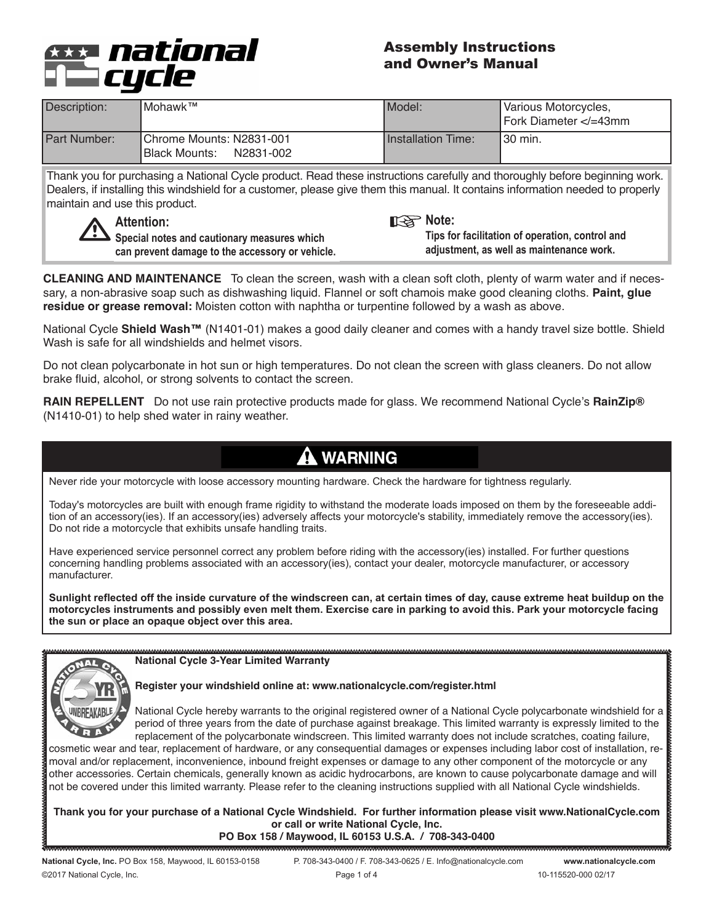

## Assembly Instructions and Owner's Manual

| IMohawk™<br>Description: |                                                         | Model:                    | Various Motorcycles,<br>Fork Diameter =43mm</th |
|--------------------------|---------------------------------------------------------|---------------------------|-------------------------------------------------|
| Part Number:             | Chrome Mounts: N2831-001<br>N2831-002<br>IBlack Mounts: | <b>Installation Time:</b> | I30 min.                                        |

Thank you for purchasing a National Cycle product. Read these instructions carefully and thoroughly before beginning work. Dealers, if installing this windshield for a customer, please give them this manual. It contains information needed to properly maintain and use this product.



**Note:**

**Special notes and cautionary measures which can prevent damage to the accessory or vehicle.**

## **Tips for facilitation of operation, control and adjustment, as well as maintenance work.**

**CLEANING AND MAINTENANCE** To clean the screen, wash with a clean soft cloth, plenty of warm water and if necessary, a non-abrasive soap such as dishwashing liquid. Flannel or soft chamois make good cleaning cloths. **Paint, glue residue or grease removal:** Moisten cotton with naphtha or turpentine followed by a wash as above.

National Cycle **Shield Wash™** (N1401-01) makes a good daily cleaner and comes with a handy travel size bottle. Shield Wash is safe for all windshields and helmet visors.

Do not clean polycarbonate in hot sun or high temperatures. Do not clean the screen with glass cleaners. Do not allow brake fluid, alcohol, or strong solvents to contact the screen.

**RAIN REPELLENT** Do not use rain protective products made for glass. We recommend National Cycle's **RainZip®** (N1410-01) to help shed water in rainy weather.

# **A WARNING**

Never ride your motorcycle with loose accessory mounting hardware. Check the hardware for tightness regularly.

Today's motorcycles are built with enough frame rigidity to withstand the moderate loads imposed on them by the foreseeable addition of an accessory(ies). If an accessory(ies) adversely affects your motorcycle's stability, immediately remove the accessory(ies). Do not ride a motorcycle that exhibits unsafe handling traits.

Have experienced service personnel correct any problem before riding with the accessory(ies) installed. For further questions concerning handling problems associated with an accessory(ies), contact your dealer, motorcycle manufacturer, or accessory manufacturer.

**Sunlight reflected off the inside curvature of the windscreen can, at certain times of day, cause extreme heat buildup on the motorcycles instruments and possibly even melt them. Exercise care in parking to avoid this. Park your motorcycle facing the sun or place an opaque object over this area.**



**National Cycle 3-Year Limited Warranty**

#### **Register your windshield online at: www.nationalcycle.com/register.html**

National Cycle hereby warrants to the original registered owner of a National Cycle polycarbonate windshield for a period of three years from the date of purchase against breakage. This limited warranty is expressly limited to the replacement of the polycarbonate windscreen. This limited warranty does not include scratches, coating failure,

cosmetic wear and tear, replacement of hardware, or any consequential damages or expenses including labor cost of installation, removal and/or replacement, inconvenience, inbound freight expenses or damage to any other component of the motorcycle or any other accessories. Certain chemicals, generally known as acidic hydrocarbons, are known to cause polycarbonate damage and will not be covered under this limited warranty. Please refer to the cleaning instructions supplied with all National Cycle windshields.

**Thank you for your purchase of a National Cycle Windshield. For further information please visit www.NationalCycle.com or call or write National Cycle, Inc.** 

**PO Box 158 / Maywood, IL 60153 U.S.A. / 708-343-0400** 

©2017 National Cycle, Inc. Page 1 of 4 10-115520-000 02/17

National Cycle, Inc. PO Box 158, Maywood, IL 60153-0158 P. 708-343-0400 / F. 708-343-0625 / E. Info@nationalcycle.com www.nationalcycle.com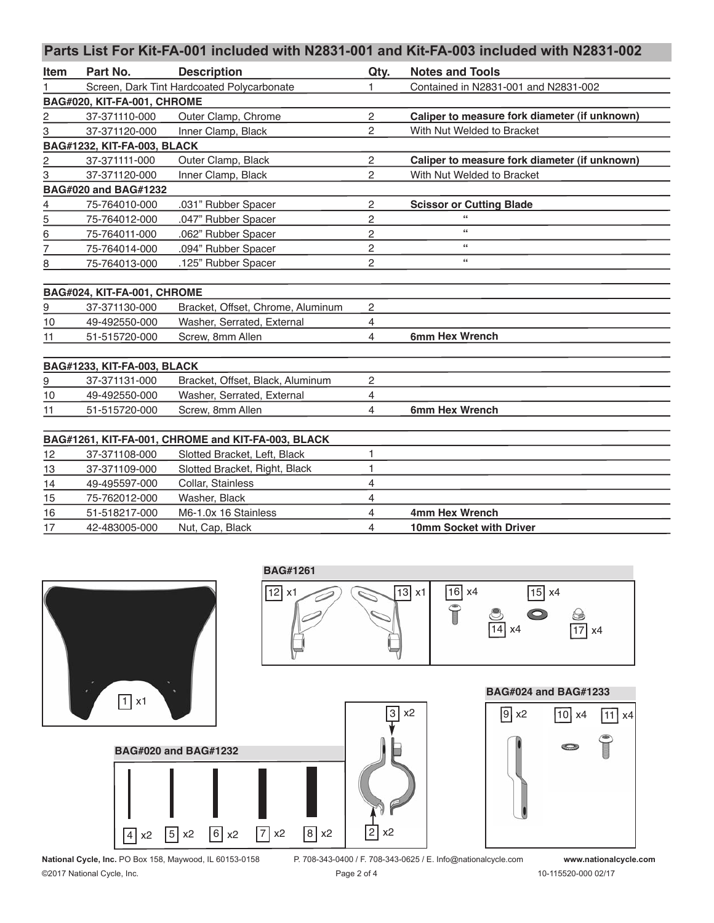## **Parts List For Kit-FA-001 included with N2831-001 and Kit-FA-003 included with N2831-002**

| Item                        | Part No.                    | <b>Description</b>                                 | Qty.           | <b>Notes and Tools</b>                        |  |  |  |  |  |
|-----------------------------|-----------------------------|----------------------------------------------------|----------------|-----------------------------------------------|--|--|--|--|--|
|                             |                             | Screen, Dark Tint Hardcoated Polycarbonate         |                | Contained in N2831-001 and N2831-002          |  |  |  |  |  |
| BAG#020, KIT-FA-001, CHROME |                             |                                                    |                |                                               |  |  |  |  |  |
| $\overline{c}$              | 37-371110-000               | Outer Clamp, Chrome                                | $\overline{c}$ | Caliper to measure fork diameter (if unknown) |  |  |  |  |  |
| 3                           | 37-371120-000               | Inner Clamp, Black                                 | $\overline{2}$ | With Nut Welded to Bracket                    |  |  |  |  |  |
|                             | BAG#1232, KIT-FA-003, BLACK |                                                    |                |                                               |  |  |  |  |  |
| 2                           | 37-371111-000               | Outer Clamp, Black                                 | 2              | Caliper to measure fork diameter (if unknown) |  |  |  |  |  |
| 3                           | 37-371120-000               | Inner Clamp, Black                                 | $\overline{2}$ | With Nut Welded to Bracket                    |  |  |  |  |  |
|                             | <b>BAG#020 and BAG#1232</b> |                                                    |                |                                               |  |  |  |  |  |
| 4                           | 75-764010-000               | .031" Rubber Spacer                                | $\overline{c}$ | <b>Scissor or Cutting Blade</b>               |  |  |  |  |  |
| $\overline{5}$              | 75-764012-000               | .047" Rubber Spacer                                | $\overline{c}$ | $\epsilon$                                    |  |  |  |  |  |
| 6                           | 75-764011-000               | .062" Rubber Spacer                                | $\overline{c}$ | $\subseteq$                                   |  |  |  |  |  |
| 7                           | 75-764014-000               | .094" Rubber Spacer                                | $\overline{c}$ | $\epsilon$                                    |  |  |  |  |  |
| 8                           | 75-764013-000               | .125" Rubber Spacer                                | $\overline{c}$ | $\subseteq$ $\subseteq$                       |  |  |  |  |  |
|                             |                             |                                                    |                |                                               |  |  |  |  |  |
|                             | BAG#024, KIT-FA-001, CHROME |                                                    |                |                                               |  |  |  |  |  |
| 9                           | 37-371130-000               | Bracket, Offset, Chrome, Aluminum                  | 2              |                                               |  |  |  |  |  |
| 10                          | 49-492550-000               | Washer, Serrated, External                         | 4              |                                               |  |  |  |  |  |
| 11                          | 51-515720-000               | Screw, 8mm Allen                                   | 4              | 6mm Hex Wrench                                |  |  |  |  |  |
|                             |                             |                                                    |                |                                               |  |  |  |  |  |
|                             | BAG#1233, KIT-FA-003, BLACK |                                                    |                |                                               |  |  |  |  |  |
| 9                           | 37-371131-000               | Bracket, Offset, Black, Aluminum                   | $\overline{c}$ |                                               |  |  |  |  |  |
| 10                          | 49-492550-000               | Washer, Serrated, External                         | 4              |                                               |  |  |  |  |  |
| 11                          | 51-515720-000               | Screw, 8mm Allen                                   | 4              | 6mm Hex Wrench                                |  |  |  |  |  |
|                             |                             |                                                    |                |                                               |  |  |  |  |  |
|                             |                             | BAG#1261, KIT-FA-001, CHROME and KIT-FA-003, BLACK |                |                                               |  |  |  |  |  |
| 12                          | 37-371108-000               | Slotted Bracket, Left, Black                       | $\mathbf{1}$   |                                               |  |  |  |  |  |
| 13                          | 37-371109-000               | Slotted Bracket, Right, Black                      | 1              |                                               |  |  |  |  |  |
| 14                          | 49-495597-000               | Collar, Stainless                                  | $\overline{4}$ |                                               |  |  |  |  |  |
| 15                          | 75-762012-000               | Washer, Black                                      | 4              |                                               |  |  |  |  |  |
| 16                          | 51-518217-000               | M6-1.0x 16 Stainless                               | 4              | 4mm Hex Wrench                                |  |  |  |  |  |
| 17                          | 42-483005-000               | Nut, Cap, Black                                    | 4              | 10mm Socket with Driver                       |  |  |  |  |  |



**National Cycle, Inc.** PO Box 158, Maywood, IL 60153-0158 P. 708-343-0400 / F. 708-343-0625 / E. Info@nationalcycle.com **www.nationalcycle.com** ©2017 National Cycle, Inc. Page 2 of 4 10-115520-000 02/17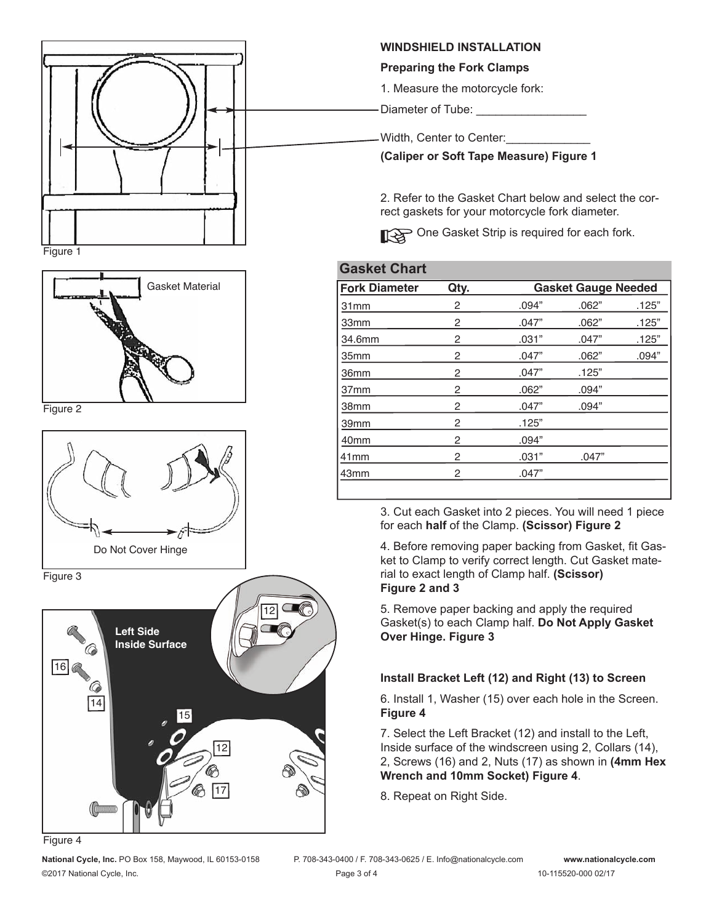

Figure 1



Figure 2



Figure 3



Figure 4

**National Cycle, Inc.** PO Box 158, Maywood, IL 60153-0158 P. 708-343-0400 / F. 708-343-0625 / E. Info@nationalcycle.com **www.nationalcycle.com** ©2017 National Cycle, Inc. Page 3 of 4 10-115520-000 02/17

#### **WINDSHIELD INSTALLATION**

#### **Preparing the Fork Clamps**

1. Measure the motorcycle fork:

Diameter of Tube: \_\_\_\_\_\_\_\_\_\_

Width, Center to Center:

**(Caliper or Soft Tape Measure) Figure 1** 

2. Refer to the Gasket Chart below and select the correct gaskets for your motorcycle fork diameter.

One Gasket Strip is required for each fork.

## **Gasket Chart**

| Gasket Material | <b>Fork Diameter</b> | Qty.           | <b>Gasket Gauge Needed</b> |       |       |
|-----------------|----------------------|----------------|----------------------------|-------|-------|
|                 | 31 <sub>mm</sub>     | 2              | .094"                      | .062" | .125" |
|                 | 33mm                 | 2              | .047"                      | .062" | .125" |
|                 | 34.6mm               | 2              | .031"                      | .047" | .125" |
|                 | 35mm                 | 2              | .047"                      | .062" | .094" |
|                 | 36mm                 | $\overline{2}$ | .047"                      | .125" |       |
|                 | 37 <sub>mm</sub>     | 2              | .062"                      | .094" |       |
|                 | 38mm                 | 2              | .047"                      | .094" |       |
|                 | 39mm                 | 2              | .125"                      |       |       |
|                 | 40 <sub>mm</sub>     | 2              | .094"                      |       |       |
|                 | 41 <sub>mm</sub>     | 2              | .031"                      | .047" |       |
|                 | 43mm                 | 2              | .047"                      |       |       |

3. Cut each Gasket into 2 pieces. You will need 1 piece for each **half** of the Clamp. **(Scissor) Figure 2**

4. Before removing paper backing from Gasket, fit Gasket to Clamp to verify correct length. Cut Gasket material to exact length of Clamp half. **(Scissor) Figure 2 and 3**

5. Remove paper backing and apply the required Gasket(s) to each Clamp half. **Do Not Apply Gasket Over Hinge. Figure 3**

## **Install Bracket Left (12) and Right (13) to Screen**

6. Install 1, Washer (15) over each hole in the Screen. **Figure 4**

7. Select the Left Bracket (12) and install to the Left, Inside surface of the windscreen using 2, Collars (14), 2, Screws (16) and 2, Nuts (17) as shown in **(4mm Hex Wrench and 10mm Socket) Figure 4**.

8. Repeat on Right Side.